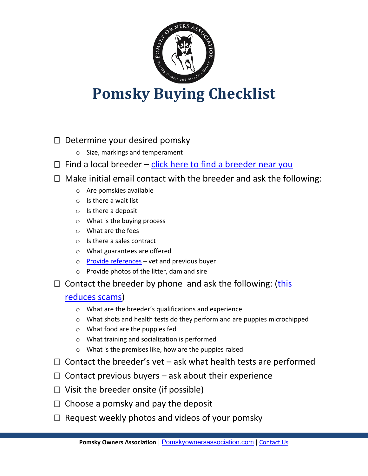

## **Pomsky Buying Checklist**

## $\Box$  Determine your desired pomsky

- o Size, markings and temperament
- $\Box$  Find a local [breeder](http://www.pomskyownersassociation.com/pomsky-for-sale/) click here to find a breeder near you
- $\Box$  Make initial email contact with the breeder and ask the following:
	- o Are pomskies available
	- o Is there a wait list
	- o Is there a deposit
	- o What is the buying process
	- o What are the fees
	- o Is there a sales contract
	- o What guarantees are offered
	- o Provide [references](http://www.pomskyownersassociation.com/6-tips-to-avoid-pomsky-scams/) vet and previous buyer
	- o Provide photos of the litter, dam and sire
- $\Box$  Contact the breeder by phone and ask the following: [\(this](http://www.pomskyownersassociation.com/6-tips-to-avoid-pomsky-scams/)

## [reduces](http://www.pomskyownersassociation.com/6-tips-to-avoid-pomsky-scams/) scams)

- o What are the breeder's qualifications and experience
- $\circ$  What shots and health tests do they perform and are puppies microchipped
- o What food are the puppies fed
- o What training and socialization is performed
- o What is the premises like, how are the puppies raised
- $\Box$  Contact the breeder's vet ask what health tests are performed
- $\Box$  Contact previous buyers ask about their experience
- $\Box$  Visit the breeder onsite (if possible)
- $\Box$  Choose a pomsky and pay the deposit
- $\Box$  Request weekly photos and videos of your pomsky